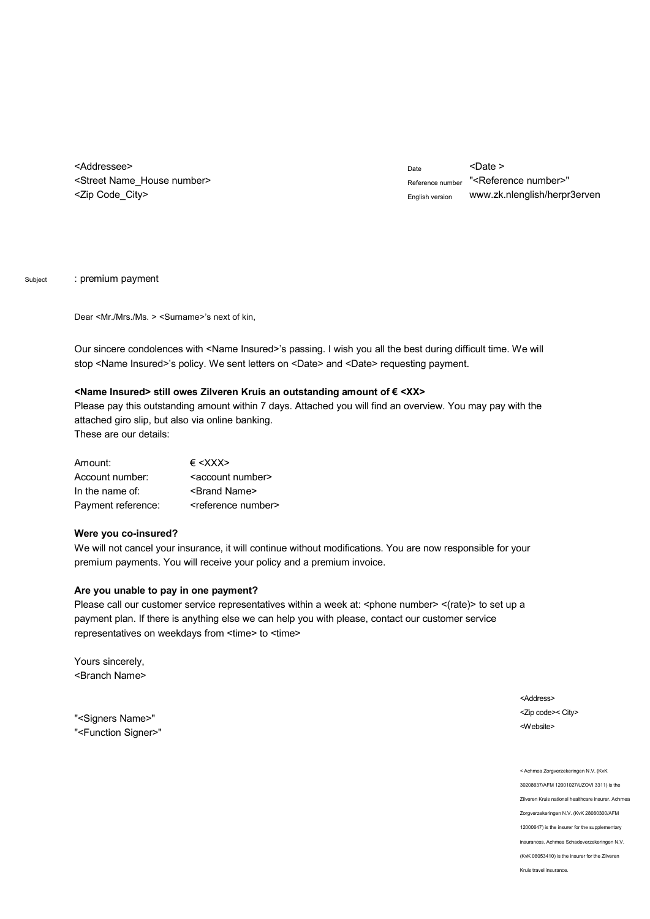<Addressee> <Street Name\_House number> <Zip Code\_City>

 $_{\text{Date}}$  <Date > Reference number "<Reference number>" English version w[ww.zk.nlenglish/herpr3erven](www.zk.nlenglish/herpr3erven)

Subject : premium payment

Dear <Mr./Mrs./Ms. > <Surname>'s next of kin,

Our sincere condolences with <Name Insured>'s passing. I wish you all the best during difficult time. We will stop <Name Insured>'s policy. We sent letters on <Date> and <Date> requesting payment.

## **<Name Insured> still owes Zilveren Kruis an outstanding amount of Ä <XX>**

Please pay this outstanding amount within 7 days. Attached you will find an overview. You may pay with the attached giro slip, but also via online banking. These are our details:

| Amount:            | $\epsilon$ <xxx></xxx>            |
|--------------------|-----------------------------------|
| Account number:    | <account number=""></account>     |
| In the name of:    | <brand name=""></brand>           |
| Payment reference: | <reference number=""></reference> |

## **Were you co-insured?**

We will not cancel your insurance, it will continue without modifications. You are now responsible for your premium payments. You will receive your policy and a premium invoice.

## **Are you unable to pay in one payment?**

Please call our customer service representatives within a week at: <phone number> <(rate)> to set up a payment plan. If there is anything else we can help you with please, contact our customer service representatives on weekdays from <time> to <time>

Yours sincerely, <Branch Name>

"<Signers Name>" "<Function Signer>" <Address> <Zip code>< City> <Website>

< Achmea Zorgverzekeringen N.V. (KvK 30208637/AFM 12001027/UZOVI 3311) is the Zilveren Kruis national healthcare insurer. Achmea Zorgverzekeringen N.V. (KvK 28080300/AFM 12000647) is the insurer for the supplementary insurances. Achmea Schadeverzekeringen N.V. (KvK 08053410) is the insurer for the Zilveren Kruis travel insurance.